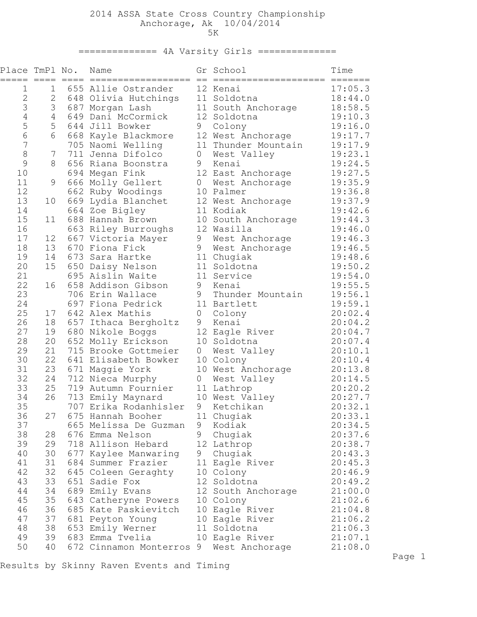## 2014 ASSA State Cross Country Championship Anchorage, Ak 10/04/2014 5K

============== 4A Varsity Girls ==============

| Place TmPl No. |    |            | Name<br>==================   |                     | Gr School                        | Time               |
|----------------|----|------------|------------------------------|---------------------|----------------------------------|--------------------|
| 1              | 1  |            | 655 Allie Ostrander          |                     | ====================<br>12 Kenai | =======<br>17:05.3 |
| $\overline{2}$ | 2  |            | 648 Olivia Hutchings         |                     | 11 Soldotna                      | 18:44.0            |
| 3              | 3  |            | 687 Morgan Lash              |                     | 11 South Anchorage               | 18:58.5            |
| $\sqrt{4}$     | 4  | 649        | Dani McCormick               |                     | 12 Soldotna                      | 19:10.3            |
| 5              | 5  | 644        | Jill Bowker                  | 9                   | Colony                           | 19:16.0            |
| 6              | 6  | 668        | Kayle Blackmore              |                     | 12 West Anchorage                | 19:17.7            |
| 7              |    |            | 705 Naomi Welling            |                     | 11 Thunder Mountain              | 19:17.9            |
| 8              | 7  |            | 711 Jenna Difolco            | $\mathsf{O}\xspace$ | West Valley                      | 19:23.1            |
| 9              | 8  |            | 656 Riana Boonstra           | 9                   | Kenai                            | 19:24.5            |
| 10             |    |            | 694 Megan Fink               |                     | 12 East Anchorage                | 19:27.5            |
| 11             | 9  |            | 666 Molly Gellert            | $\mathbf 0$         | West Anchorage                   | 19:35.9            |
| 12             |    |            | 662 Ruby Woodings            |                     | 10 Palmer                        | 19:36.8            |
| 13             | 10 | 669        | Lydia Blanchet               |                     | 12 West Anchorage                | 19:37.9            |
| 14             |    |            | 664 Zoe Bigley               |                     | 11 Kodiak                        | 19:42.6            |
| 15             | 11 | 688        | Hannah Brown                 |                     | 10 South Anchorage               | 19:44.3            |
| 16             |    |            | 663 Riley Burroughs          |                     | 12 Wasilla                       | 19:46.0            |
| 17             | 12 |            | 667 Victoria Mayer           | 9                   | West Anchorage                   | 19:46.3            |
| 18             | 13 |            | 670 Fiona Fick               | 9                   | West Anchorage                   | 19:46.5            |
| 19             | 14 | 673        | Sara Hartke                  |                     | 11 Chugiak                       | 19:48.6            |
| 20<br>21       | 15 | 650<br>695 | Daisy Nelson<br>Aislin Waite |                     | 11 Soldotna<br>11 Service        | 19:50.2            |
| 22             | 16 | 658        | Addison Gibson               | 9                   | Kenai                            | 19:54.0<br>19:55.5 |
| 23             |    | 706        | Erin Wallace                 | 9                   | Thunder Mountain                 | 19:56.1            |
| 24             |    |            | 697 Fiona Pedrick            |                     | 11 Bartlett                      | 19:59.1            |
| 25             | 17 |            | 642 Alex Mathis              | 0                   | Colony                           | 20:02.4            |
| 26             | 18 | 657        | Ithaca Bergholtz             | 9                   | Kenai                            | 20:04.2            |
| 27             | 19 |            | 680 Nikole Boggs             |                     | 12 Eagle River                   | 20:04.7            |
| 28             | 20 |            | 652 Molly Erickson           |                     | 10 Soldotna                      | 20:07.4            |
| 29             | 21 |            | 715 Brooke Gottmeier         | 0                   | West Valley                      | 20:10.1            |
| 30             | 22 |            | 641 Elisabeth Bowker         |                     | 10 Colony                        | 20:10.4            |
| 31             | 23 |            | 671 Maggie York              |                     | 10 West Anchorage                | 20:13.8            |
| 32             | 24 |            | 712 Nieca Murphy             | $\theta$            | West Valley                      | 20:14.5            |
| 33             | 25 | 719        | Autumn Fournier              |                     | 11 Lathrop                       | 20:20.2            |
| 34             | 26 | 713        | Emily Maynard                |                     | 10 West Valley                   | 20:27.7            |
| 35             |    |            | 707 Erika Rodanhisler        | 9                   | Ketchikan                        | 20:32.1            |
| 36             | 27 |            | 675 Hannah Booher            |                     | 11 Chugiak                       | 20:33.1            |
| 37             |    |            | 665 Melissa De Guzman        | 9                   | Kodiak                           | 20:34.5            |
| 38             | 28 |            | 676 Emma Nelson              | 9                   | Chugiak                          | 20:37.6            |
| 39             | 29 |            | 718 Allison Hebard           |                     | 12 Lathrop                       | 20:38.7            |
| 40             | 30 |            | 677 Kaylee Manwaring         |                     | 9 Chugiak                        | 20:43.3            |
| 41             | 31 |            | 684 Summer Frazier           |                     | 11 Eagle River                   | 20:45.3            |
| 42             | 32 |            | 645 Coleen Geraghty          |                     | 10 Colony                        | 20:46.9            |
| 43             | 33 |            | 651 Sadie Fox                |                     | 12 Soldotna                      | 20:49.2            |
| 44             | 34 |            | 689 Emily Evans              |                     | 12 South Anchorage               | 21:00.0            |
| 45             | 35 |            | 643 Catheryne Powers         |                     | 10 Colony                        | 21:02.6            |
| 46             | 36 |            | 685 Kate Paskievitch         |                     | 10 Eagle River                   | 21:04.8            |
| 47             | 37 |            | 681 Peyton Young             |                     | 10 Eagle River                   | 21:06.2            |
| 48             | 38 |            | 653 Emily Werner             |                     | 11 Soldotna                      | 21:06.3            |
| 49             | 39 |            | 683 Emma Tvelia              |                     | 10 Eagle River                   | 21:07.1            |
| 50             | 40 |            | 672 Cinnamon Monterros 9     |                     | West Anchorage                   | 21:08.0            |

Results by Skinny Raven Events and Timing

Page 1